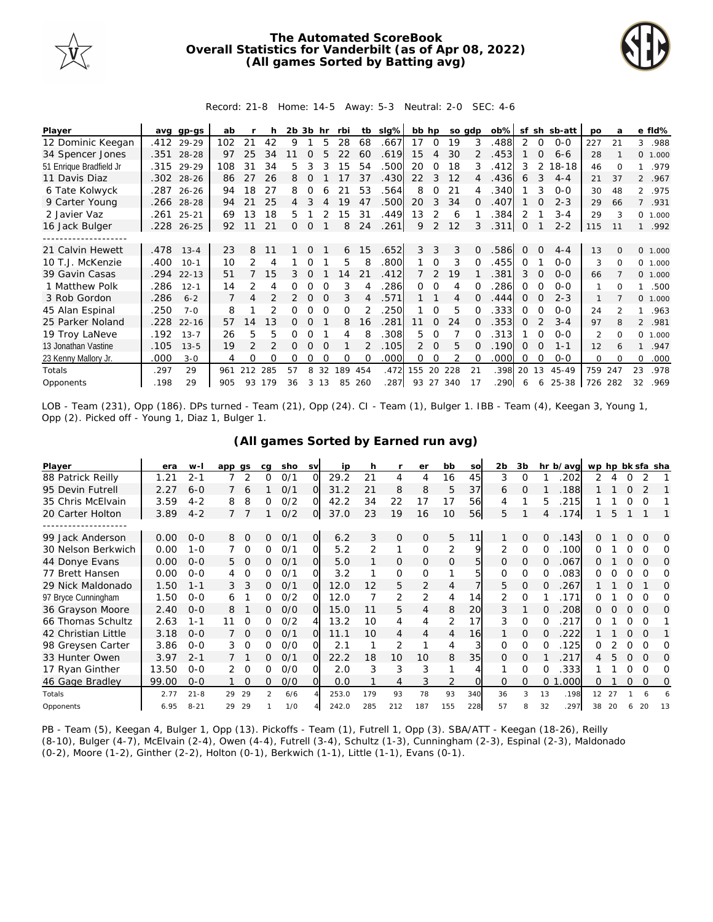

## **The Automated ScoreBook Overall Statistics for Vanderbilt (as of Apr 08, 2022) (All games Sorted by Batting avg)**



## Record: 21-8 Home: 14-5 Away: 5-3 Neutral: 2-0 SEC: 4-6

| Player                  | avq  | gp-gs      | ab  |               |               | 2b | 3b       | hr       | rbi | tb  | slg% | bb hp          |               | so adp |          | $ob\%$ | sf       |          | sh sb-att | po             | a        |                | e fld%   |
|-------------------------|------|------------|-----|---------------|---------------|----|----------|----------|-----|-----|------|----------------|---------------|--------|----------|--------|----------|----------|-----------|----------------|----------|----------------|----------|
| 12 Dominic Keegan       | .412 | 29-29      | 102 | 21            | 42            | 9  |          | 5        | 28  | 68  | .667 | 17             | $\Omega$      | 19     | 3        | .488   | 2        | $\Omega$ | $0 - 0$   | 227            | 21       | 3              | .988     |
| 34 Spencer Jones        |      | .351 28-28 | 97  | 25            | 34            |    | $\Omega$ |          |     | 60  | .619 | 15             | 4             | 30     |          | .453   |          | $\Omega$ | $6 - 6$   | 28             |          |                | 0 1.000  |
| 51 Enrique Bradfield Jr | .315 | 29-29      | 108 | 31            | 34            | 5  | 3        |          | 15  | 54  | .500 | 20             | 0             | 18     | 3        | .412   | 3        | 2        | 18-18     | 46             | $\Omega$ |                | .979     |
| 11 Davis Diaz           |      | .302 28-26 | 86  | 27            | 26            | 8  | $\Omega$ |          | 17  | 37  | .430 | 22             | 3             | 12     | 4        | .436   | 6        | 3        | $4 - 4$   | 21             | 37       |                | 2 .967   |
| 6 Tate Kolwyck          |      | .287 26-26 | 94  | 18            | 27            | 8  | O        |          | 21  | 53  | .564 | 8              | 0             | 21     |          | .340   |          | 3        | $O-O$     | 30             | 48       |                | 2 .975   |
| 9 Carter Young          | .266 | $28 - 28$  | 94  | 21            | 25            | 4  | 3        | 4        | 19  | 47  | .500 | 20             | 3             | 34     | O.       | .407   |          |          | $2 - 3$   | 29             | 66       | $\overline{7}$ | .931     |
| 2 Javier Vaz            | .261 | $25 - 21$  | 69  | 13            | 18            | 5  |          |          | 15  | 31  | .449 | 13             | 2             | 6      |          | .384   | 2        |          | $3 - 4$   | 29             | 3        | $\circ$        | 1.000    |
| 16 Jack Bulger          |      | .228 26-25 | 92  | 11            | 21            | Ω  | $\Omega$ |          | 8   | 24  | .261 | 9              | 2             | 12     | 3        | .311   | 0        |          | $2 - 2$   | 115            | 11       |                | .992     |
|                         |      |            |     |               |               |    |          |          |     |     |      |                |               |        |          |        |          |          |           |                |          |                |          |
| 21 Calvin Hewett        | .478 | $13 - 4$   | 23  | 8             | 11            |    | $\Omega$ |          | 6   | 15  | .652 | 3              | 3             | 3      | $\Omega$ | .586   | $\Omega$ | $\Omega$ | $4 - 4$   | 13             | $\Omega$ |                | 0 1.000  |
| 10 T.J. McKenzie        | .400 | $10-1$     | 10  | 2             | 4             |    |          |          | 5   | 8   | .800 |                | $\Omega$      | 3      |          | .455   | 0        |          | $O-O$     | 3              | $\Omega$ | $\Omega$       | 1.000    |
| 39 Gavin Casas          | .294 | $22 - 13$  | 51  |               | 15            | 3  | $\Omega$ |          | 14  | 21  | .412 |                | $\mathcal{P}$ | 19     |          | .381   | 3        |          | $0 - 0$   | 66             |          |                | 0, 1,000 |
| 1 Matthew Polk          | .286 | $12 - 1$   | 14  | 2             | 4             | 0  | $\Omega$ |          | 3   |     | .286 | 0              | $\Omega$      | 4      | 0        | 286    | 0        | $\Omega$ | $O-O$     | 1              | $\Omega$ | 1              | .500     |
| 3 Rob Gordon            | .286 | $6 - 2$    |     | 4             |               | 2  | $\Omega$ | $\Omega$ | 3   | 4   | .571 |                |               | 4      | 0        | .444   | 0        | ∩        | $2 - 3$   |                |          | $\Omega$       | 1.000    |
| 45 Alan Espinal         | .250 | $7 - 0$    | 8   |               |               | Ω  |          |          | O   |     | 250  |                | $\Omega$      | 5      |          | .333   | 0        |          | $O-O$     | 24             |          |                | .963     |
| 25 Parker Noland        | .228 | $22 - 16$  | 57  | 14            | 13            | 0  | Ω        |          | 8   | 16  | .281 | 11             | 0             | 24     | 0        | .353   | Ω        |          | $3 - 4$   | 97             | 8        |                | 2 .981   |
| 19 Troy LaNeve          | .192 | $13 - 7$   | 26  | 5             | 5             | Ω  | O        |          | 4   |     | .308 | 5.             | 0             |        |          | .313   |          |          | $O-O$     | $\mathfrak{D}$ | $\Omega$ | $\Omega$       | 1.000    |
| 13 Jonathan Vastine     | .105 | $13 - 5$   | 19  | $\mathcal{P}$ | $\mathcal{P}$ | Ω  | $\Omega$ | $\Omega$ |     |     | .105 | $\overline{2}$ | $\Omega$      | 5      | 0        | .190   | 0        | $\Omega$ | $1 - 1$   | 12             | 6        |                | .947     |
| 23 Kenny Mallory Jr.    | .000 | $3 - 0$    | 4   | 0             | O             | 0  | Ω        |          | O   |     | .000 | 0              | 0             | 2      |          | .000   | 0        | ∩        | $O-O$     | $\Omega$       | $\Omega$ | $\Omega$       | .000     |
| Totals                  | .297 | 29         | 961 | 212           | 285           | 57 | 8        | 32       | 189 | 454 | .472 | 155            | 20            | 228    | 21       | .398   | 20       | 13       | 45-49     | 759            | 247      | 23             | .978     |
| Opponents               | .198 | 29         | 905 | 93            | 179           | 36 | 3        | 13       | 85  | 260 | .287 | 93 27          |               | 340    | 17       | .290   | 6        | 6        | 25-38     | 726            | 282      | 32             | .969     |

LOB - Team (231), Opp (186). DPs turned - Team (21), Opp (24). CI - Team (1), Bulger 1. IBB - Team (4), Keegan 3, Young 1, Opp (2). Picked off - Young 1, Diaz 1, Bulger 1.

## **(All games Sorted by Earned run avg)**

| Player              | era   | $W -$    | app gs |          | ca            | sho | <b>SV</b> | ip    | h   |                | er             | bb           | so        | 2b           | 3b       |          | hr b/avg | wp hp bk sfa sha |    |   |          |          |
|---------------------|-------|----------|--------|----------|---------------|-----|-----------|-------|-----|----------------|----------------|--------------|-----------|--------------|----------|----------|----------|------------------|----|---|----------|----------|
| 88 Patrick Reilly   | 1.21  | $2 - 1$  |        | 2        | O             | 0/1 | ∩         | 29.2  | 21  | 4              | 4              | 16           | 45        | 3            | 0        |          | 202      | 2                |    |   |          |          |
| 95 Devin Futrell    | 2.27  | $6 - 0$  |        | 6        |               | 0/1 | ΩI        | 31.2  | 21  | 8              | 8              | 5            | 37        | 6            | O        |          | 188      |                  |    | Ω |          |          |
| 35 Chris McElvain   | 3.59  | $4 - 2$  | 8      | 8        |               | O/2 | $\Omega$  | 42.2  | 34  | 22             | 17             | 17           | 56        | 4            |          | 5        | 215      |                  |    | Ω | O        |          |
| 20 Carter Holton    | 3.89  | $4 - 2$  |        |          |               | 0/2 | ΟI        | 37.0  | 23  | 19             | 16             | 10           | <b>56</b> | 5.           |          | 4        | .174     |                  | 5  |   |          |          |
|                     |       |          |        |          |               |     |           |       |     |                |                |              |           |              |          |          |          |                  |    |   |          |          |
| 99 Jack Anderson    | 0.00  | $0 - 0$  | 8      | $\Omega$ | 0             | 0/1 | $\Omega$  | 6.2   | 3   | $\overline{O}$ | $\Omega$       | 5            | 11        |              | $\Omega$ | 0        | .143     | ∩                |    | Ω | $\Omega$ | $\Omega$ |
| 30 Nelson Berkwich  | 0.00  | $1 - 0$  |        | $\Omega$ | 0             | 0/1 | O.        | 5.2   | 2   | 1              | $\Omega$       | 2            | 9         | 2            | $\Omega$ | 0        | .100     | 0                |    | 0 | O        | $\Omega$ |
| 44 Donye Evans      | 0.00  | $0 - 0$  | 5      | $\Omega$ | 0             | 0/1 | O.        | 5.0   |     | 0              | $\Omega$       | $\mathbf{0}$ | 5         | $\mathbf{0}$ | 0        | 0        | .067     | Ω                |    | O | $\Omega$ | $\Omega$ |
| 77 Brett Hansen     | 0.00  | $0 - 0$  |        | $\Omega$ | 0             | O/1 | വ         | 3.2   |     | 0              | 0              | 1            | 5         | $\Omega$     | 0        | 0        | 083      | 0                |    | Ω | Ω        | Ω        |
| 29 Nick Maldonado   | 1.50  | $1 - 1$  | 3.     |          | 0             | 0/1 | O.        | 12.0  | 12  | 5              | $\overline{2}$ | 4            |           | 5.           | $\Omega$ | $\Omega$ | .267     |                  |    | Ω |          | $\Omega$ |
| 97 Bryce Cunningham | 1.50  | $0 - 0$  | 6      |          | 0             | O/2 | വ         | 12.0  |     | 2              | 2              | 4            | 14        |              | $\Omega$ |          | 171      |                  |    | Ω | ∩        | O        |
| 36 Grayson Moore    | 2.40  | $0 - 0$  | 8      |          | 0             | O/O | ΩI        | 15.0  |     | 5              | 4              | 8            | 20        | 3            |          | $\Omega$ | 208      | 0                |    | 0 | $\Omega$ | $\Omega$ |
| 66 Thomas Schultz   | 2.63  | $1 - 1$  | 11     | $\Omega$ | 0             | O/2 |           | 13.2  | 10  | 4              | 4              | 2            | 17        | 3            | 0        | 0        | 217      |                  |    | Ω | Ω        |          |
| 42 Christian Little | 3.18  | $0 - 0$  |        | $\Omega$ | 0             | 0/1 | O.        | 11.1  | 10  | 4              | 4              | 4            | 16        |              | 0        | Ω        | 222      |                  |    | Ω | O        |          |
| 98 Greysen Carter   | 3.86  | $0 - 0$  | 3      | $\Omega$ | O             | 0/0 |           | 2.1   |     | 2              |                | 4            | 3         | $\Omega$     | $\Omega$ | 0        | .125     | Ω                |    | O | ∩        | O        |
| 33 Hunter Owen      | 3.97  | $2 - 1$  |        |          | 0             | 0/1 | $\Omega$  | 22.2  | 18  | 10             | 10             | 8            | 35        | $\Omega$     | $\Omega$ |          | 217      |                  |    | Ω | $\Omega$ | $\Omega$ |
| 17 Ryan Ginther     | 13.50 | $0 - 0$  | 2      | $\Omega$ | 0             | 0/0 |           | 2.0   | 3   | 3              | 3              |              |           |              | $\Omega$ | O        | 333      |                  |    | O | $\Omega$ | Ω        |
| 46 Gage Bradley     | 99.00 | $0 - 0$  |        | $\Omega$ | 0             | O/O | O.        | 0.0   |     | 4              | 3              | 2            | O.        | 0            | 0        | 0        | .000     | Ω                |    | 0 | $\Omega$ | O        |
| Totals              | 2.77  | $21 - 8$ | 29     | 29       | $\mathcal{P}$ | 6/6 |           | 253.0 | 179 | 93             | 78             | 93           | 340       | 36           | 3        | 13       | .198     | 12               | 27 |   |          |          |
| Opponents           | 6.95  | $8 - 21$ | 29     | 29       |               | 1/0 |           | 242.0 | 285 | 212            | 187            | 155          | 228       | 57           | 8        | 32       | .297     | 38               | 20 |   | 20       | 13       |

PB - Team (5), Keegan 4, Bulger 1, Opp (13). Pickoffs - Team (1), Futrell 1, Opp (3). SBA/ATT - Keegan (18-26), Reilly (8-10), Bulger (4-7), McElvain (2-4), Owen (4-4), Futrell (3-4), Schultz (1-3), Cunningham (2-3), Espinal (2-3), Maldonado (0-2), Moore (1-2), Ginther (2-2), Holton (0-1), Berkwich (1-1), Little (1-1), Evans (0-1).